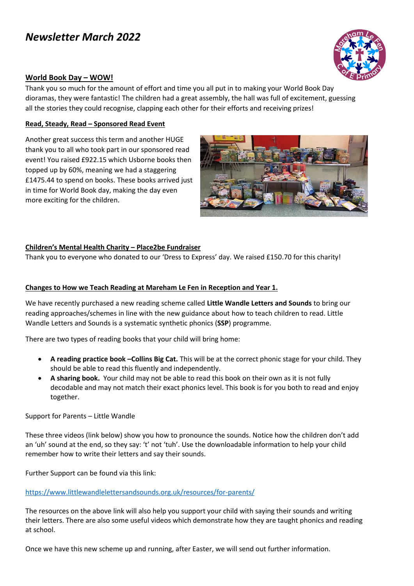# *Newsletter March 2022*



#### **World Book Day – WOW!**

Thank you so much for the amount of effort and time you all put in to making your World Book Day dioramas, they were fantastic! The children had a great assembly, the hall was full of excitement, guessing all the stories they could recognise, clapping each other for their efforts and receiving prizes!

#### **Read, Steady, Read – Sponsored Read Event**

Another great success this term and another HUGE thank you to all who took part in our sponsored read event! You raised £922.15 which Usborne books then topped up by 60%, meaning we had a staggering £1475.44 to spend on books. These books arrived just in time for World Book day, making the day even more exciting for the children.



#### **Children's Mental Health Charity – Place2be Fundraiser**

Thank you to everyone who donated to our 'Dress to Express' day. We raised £150.70 for this charity!

#### **Changes to How we Teach Reading at Mareham Le Fen in Reception and Year 1.**

We have recently purchased a new reading scheme called **Little Wandle Letters and Sounds** to bring our reading approaches/schemes in line with the new guidance about how to teach children to read. Little Wandle Letters and Sounds is a systematic synthetic phonics (**SSP**) programme.

There are two types of reading books that your child will bring home:

- **A reading practice book –Collins Big Cat.** This will be at the correct phonic stage for your child. They should be able to read this fluently and independently.
- **A sharing book.** Your child may not be able to read this book on their own as it is not fully decodable and may not match their exact phonics level. This book is for you both to read and enjoy together.

Support for Parents – Little Wandle

These three videos (link below) show you how to pronounce the sounds. Notice how the children don't add an 'uh' sound at the end, so they say: 't' not 'tuh'. Use the downloadable information to help your child remember how to write their letters and say their sounds.

Further Support can be found via this link:

#### <https://www.littlewandlelettersandsounds.org.uk/resources/for-parents/>

The resources on the above link will also help you support your child with saying their sounds and writing their letters. There are also some useful videos which demonstrate how they are taught phonics and reading at school.

Once we have this new scheme up and running, after Easter, we will send out further information.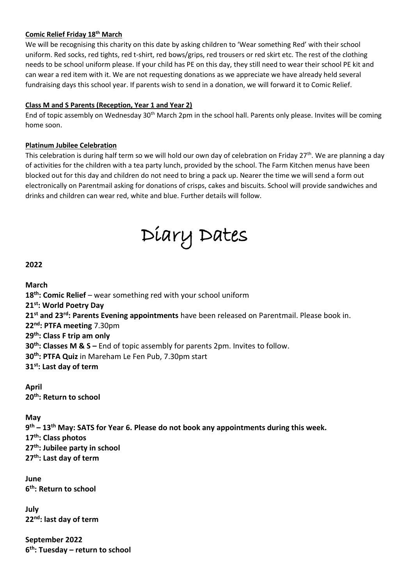# **Comic Relief Friday 18th March**

We will be recognising this charity on this date by asking children to 'Wear something Red' with their school uniform. Red socks, red tights, red t-shirt, red bows/grips, red trousers or red skirt etc. The rest of the clothing needs to be school uniform please. If your child has PE on this day, they still need to wear their school PE kit and can wear a red item with it. We are not requesting donations as we appreciate we have already held several fundraising days this school year. If parents wish to send in a donation, we will forward it to Comic Relief.

### **Class M and S Parents (Reception, Year 1 and Year 2)**

End of topic assembly on Wednesday 30th March 2pm in the school hall. Parents only please. Invites will be coming home soon.

# **Platinum Jubilee Celebration**

This celebration is during half term so we will hold our own day of celebration on Friday 27<sup>th</sup>. We are planning a day of activities for the children with a tea party lunch, provided by the school. The Farm Kitchen menus have been blocked out for this day and children do not need to bring a pack up. Nearer the time we will send a form out electronically on Parentmail asking for donations of crisps, cakes and biscuits. School will provide sandwiches and drinks and children can wear red, white and blue. Further details will follow.



# **2022**

**March th: Comic Relief** – wear something red with your school uniform **st: World Poetry Day st and 23 rd: Parents Evening appointments** have been released on Parentmail. Please book in. **nd: PTFA meeting** 7.30pm **th: Class F trip am only th: Classes M & S –** End of topic assembly for parents 2pm. Invites to follow. **th: PTFA Quiz** in Mareham Le Fen Pub, 7.30pm start **st: Last day of term**

**April 20th: Return to school**

### **May**

 **th – 13th May: SATS for Year 6. Please do not book any appointments during this week. th: Class photos th: Jubilee party in school th: Last day of term**

**June 6 th: Return to school**

**July 22nd: last day of term**

**September 2022 6 th: Tuesday – return to school**